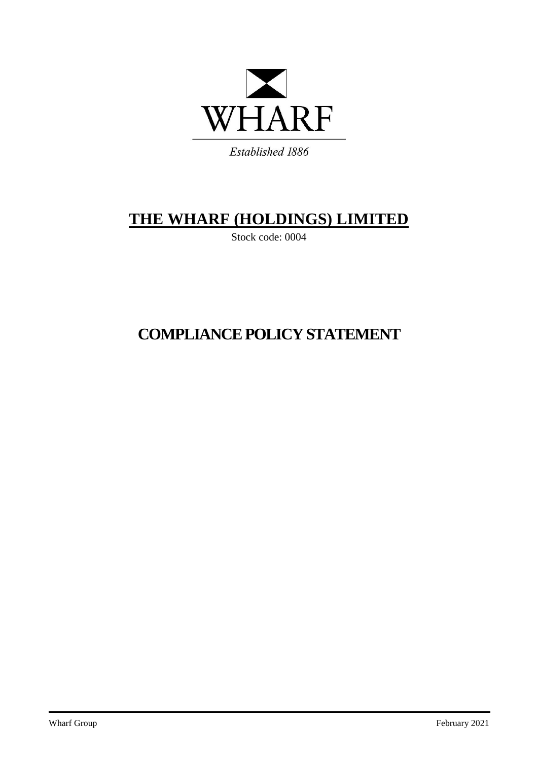

# **THE WHARF (HOLDINGS) LIMITED**

Stock code: 0004

# **COMPLIANCE POLICY STATEMENT**